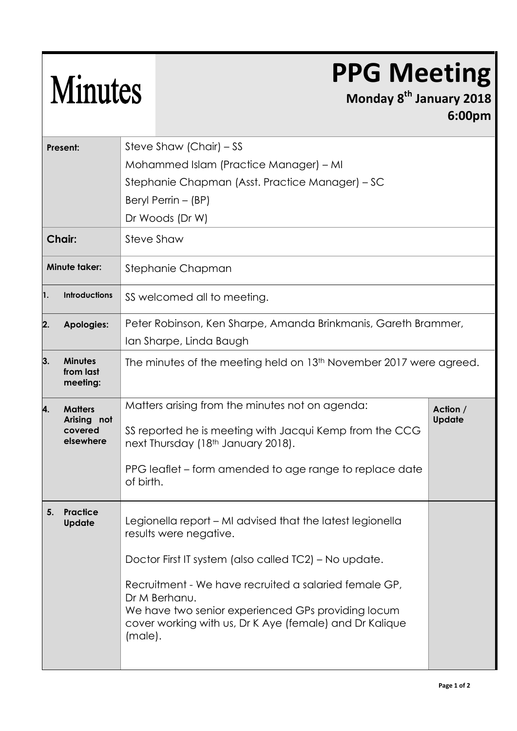## **PPG Meeting**

## Minutes

## **Monday 8 th January 2018 6:00pm**

| Present:             |                                                       | Steve Shaw (Chair) – SS                                                                                                                                                                            |               |  |  |
|----------------------|-------------------------------------------------------|----------------------------------------------------------------------------------------------------------------------------------------------------------------------------------------------------|---------------|--|--|
|                      |                                                       | Mohammed Islam (Practice Manager) – MI                                                                                                                                                             |               |  |  |
|                      |                                                       | Stephanie Chapman (Asst. Practice Manager) - SC                                                                                                                                                    |               |  |  |
|                      |                                                       | Beryl Perrin - (BP)                                                                                                                                                                                |               |  |  |
|                      |                                                       | Dr Woods (Dr W)                                                                                                                                                                                    |               |  |  |
| <b>Chair:</b>        |                                                       | Steve Shaw                                                                                                                                                                                         |               |  |  |
| <b>Minute taker:</b> |                                                       | Stephanie Chapman                                                                                                                                                                                  |               |  |  |
| 1.                   | <b>Introductions</b>                                  | SS welcomed all to meeting.                                                                                                                                                                        |               |  |  |
| 2.                   | <b>Apologies:</b>                                     | Peter Robinson, Ken Sharpe, Amanda Brinkmanis, Gareth Brammer,                                                                                                                                     |               |  |  |
|                      |                                                       | Ian Sharpe, Linda Baugh                                                                                                                                                                            |               |  |  |
| 3.                   | <b>Minutes</b><br>from last<br>meeting:               | The minutes of the meeting held on 13 <sup>th</sup> November 2017 were agreed.                                                                                                                     |               |  |  |
| 4.                   | <b>Matters</b><br>Arising not<br>covered<br>elsewhere | Matters arising from the minutes not on agenda:                                                                                                                                                    | Action /      |  |  |
|                      |                                                       | SS reported he is meeting with Jacqui Kemp from the CCG<br>next Thursday (18 <sup>th</sup> January 2018).                                                                                          | <b>Update</b> |  |  |
|                      |                                                       | PPG leaflet – form amended to age range to replace date<br>of birth.                                                                                                                               |               |  |  |
| 5.                   | <b>Practice</b><br>Update                             | Legionella report – MI advised that the latest legionella<br>results were negative.                                                                                                                |               |  |  |
|                      |                                                       | Doctor First IT system (also called TC2) - No update.                                                                                                                                              |               |  |  |
|                      |                                                       | Recruitment - We have recruited a salaried female GP,<br>Dr M Berhanu.<br>We have two senior experienced GPs providing locum<br>cover working with us, Dr K Aye (female) and Dr Kalique<br>(male). |               |  |  |
|                      |                                                       |                                                                                                                                                                                                    |               |  |  |